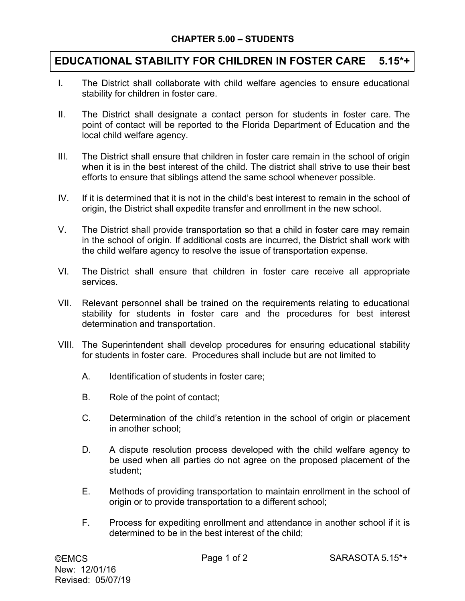## **EDUCATIONAL STABILITY FOR CHILDREN IN FOSTER CARE 5.15\*+**

- I. The District shall collaborate with child welfare agencies to ensure educational stability for children in foster care.
- II. The District shall designate a contact person for students in foster care. The point of contact will be reported to the Florida Department of Education and the local child welfare agency.
- III. The District shall ensure that children in foster care remain in the school of origin when it is in the best interest of the child. The district shall strive to use their best efforts to ensure that siblings attend the same school whenever possible.
- IV. If it is determined that it is not in the child's best interest to remain in the school of origin, the District shall expedite transfer and enrollment in the new school.
- V. The District shall provide transportation so that a child in foster care may remain in the school of origin. If additional costs are incurred, the District shall work with the child welfare agency to resolve the issue of transportation expense.
- VI. The District shall ensure that children in foster care receive all appropriate services.
- VII. Relevant personnel shall be trained on the requirements relating to educational stability for students in foster care and the procedures for best interest determination and transportation.
- VIII. The Superintendent shall develop procedures for ensuring educational stability for students in foster care. Procedures shall include but are not limited to
	- A. Identification of students in foster care;
	- B. Role of the point of contact;
	- C. Determination of the child's retention in the school of origin or placement in another school;
	- D. A dispute resolution process developed with the child welfare agency to be used when all parties do not agree on the proposed placement of the student;
	- E. Methods of providing transportation to maintain enrollment in the school of origin or to provide transportation to a different school;
	- F. Process for expediting enrollment and attendance in another school if it is determined to be in the best interest of the child;